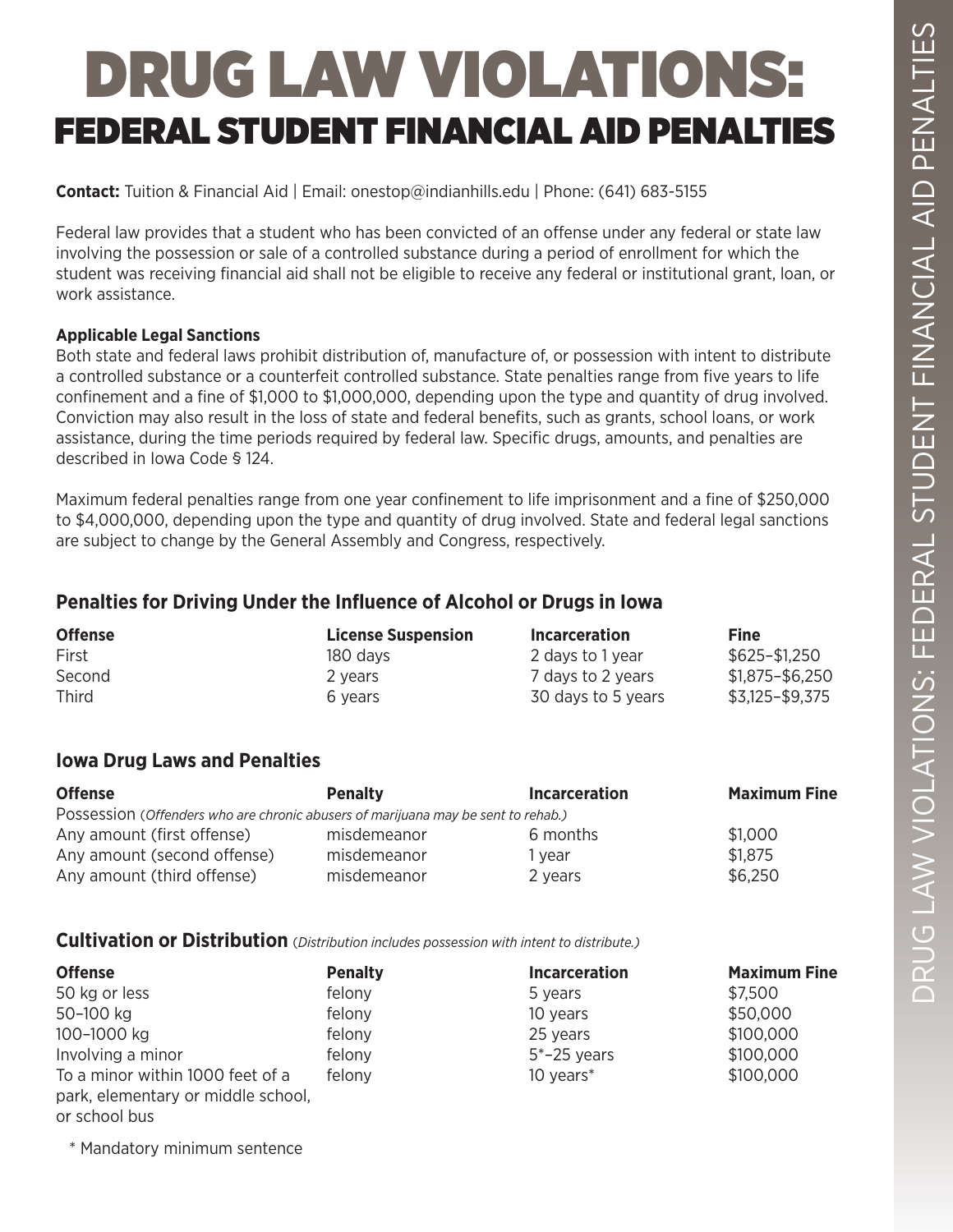# DRUG LAW VIOLATIONS: FEDERAL STUDENT FINANCIAL AID PENALTIES

**Contact:** Tuition & Financial Aid | Email: onestop@indianhills.edu | Phone: (641) 683-5155

Federal law provides that a student who has been convicted of an offense under any federal or state law involving the possession or sale of a controlled substance during a period of enrollment for which the student was receiving financial aid shall not be eligible to receive any federal or institutional grant, loan, or work assistance.

#### **Applicable Legal Sanctions**

Both state and federal laws prohibit distribution of, manufacture of, or possession with intent to distribute a controlled substance or a counterfeit controlled substance. State penalties range from five years to life confinement and a fine of \$1,000 to \$1,000,000, depending upon the type and quantity of drug involved. Conviction may also result in the loss of state and federal benefits, such as grants, school loans, or work assistance, during the time periods required by federal law. Specific drugs, amounts, and penalties are described in Iowa Code § 124.

Maximum federal penalties range from one year confinement to life imprisonment and a fine of \$250,000 to \$4,000,000, depending upon the type and quantity of drug involved. State and federal legal sanctions are subject to change by the General Assembly and Congress, respectively.

## **Penalties for Driving Under the Influence of Alcohol or Drugs in Iowa**

| <b>Offense</b> | <b>License Suspension</b> | <b>Incarceration</b> | Fine            |
|----------------|---------------------------|----------------------|-----------------|
| First          | 180 days                  | 2 days to 1 year     | \$625-\$1,250   |
| Second         | 2 years                   | 7 days to 2 years    | \$1,875-\$6,250 |
| <b>Third</b>   | 6 vears                   | 30 days to 5 years   | \$3,125-\$9,375 |

### **Iowa Drug Laws and Penalties**

| <b>Offense</b>                                                                    | <b>Penalty</b> | <b>Incarceration</b> | <b>Maximum Fine</b> |
|-----------------------------------------------------------------------------------|----------------|----------------------|---------------------|
| Possession (Offenders who are chronic abusers of marijuana may be sent to rehab.) |                |                      |                     |
| Any amount (first offense)                                                        | misdemeanor    | 6 months             | \$1.000             |
| Any amount (second offense)                                                       | misdemeanor    | l vear               | \$1,875             |
| Any amount (third offense)                                                        | misdemeanor    | 2 years              | \$6,250             |

## **Cultivation or Distribution** (*Distribution includes possession with intent to distribute.)*

| <b>Offense</b>                     | <b>Penalty</b> | <b>Incarceration</b> | <b>Maximum Fine</b> |
|------------------------------------|----------------|----------------------|---------------------|
| 50 kg or less                      | felony         | 5 years              | \$7,500             |
| 50-100 kg                          | felony         | 10 years             | \$50,000            |
| 100-1000 kg                        | felony         | 25 years             | \$100,000           |
| Involving a minor                  | felony         | $5*-25$ years        | \$100,000           |
| To a minor within 1000 feet of a   | felony         | 10 years*            | \$100,000           |
| park, elementary or middle school, |                |                      |                     |
| or school bus                      |                |                      |                     |

\* Mandatory minimum sentence